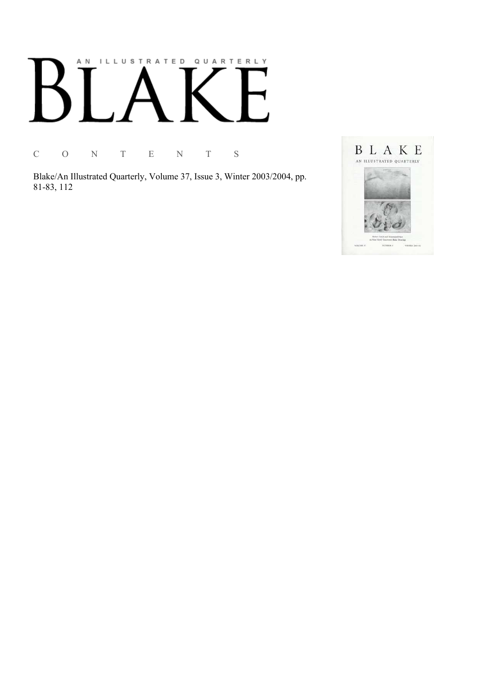# AN ILLUSTRATED QUARTERLY

C O N T E N T S

Blake/An Illustrated Quarterly, Volume 37, Issue 3, Winter 2003/2004, pp. 81-83, 112

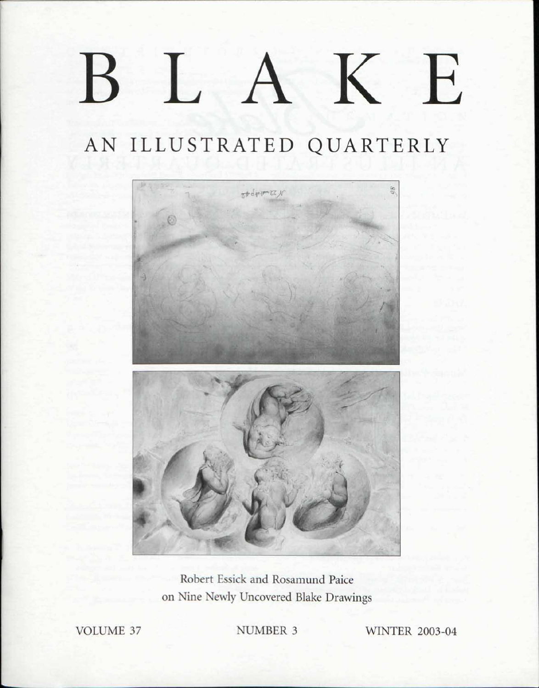# K E  $\left| \begin{array}{cc} \end{array} \right|$  $\mathbf B$

# AN ILLUSTRATED QUARTERLY



Robert Essick and Rosamund Paice on Nine Newly Uncovered Blake Drawings

VOLUME 37 NUMBER 3 WINTER 2003-04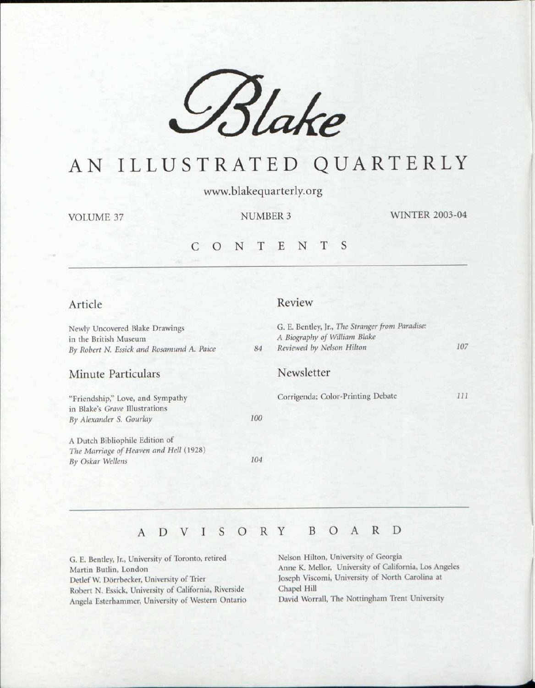

## AN ILLUSTRATED QUARTERLY

www.blakequarterly.org

VOLUME 37

NUMBER 3 WINTER 2003-04

### CONTENT S

### Article

Review

| 84  | G. E. Bentley, Jr., The Stranger from Paradise:<br>A Biography of William Blake<br>Reviewed by Nelson Hilton | 107 |
|-----|--------------------------------------------------------------------------------------------------------------|-----|
|     | Newsletter                                                                                                   |     |
|     | Corrigenda; Color-Printing Debate                                                                            | 111 |
| 100 |                                                                                                              |     |
|     |                                                                                                              |     |
| 104 |                                                                                                              |     |
|     |                                                                                                              |     |

#### ADVISOR Y BOAR D

G. E. Bentley, Jr., University of Toronto, retired Martin Butlin, London Detlef W. Dorrbecker, University of Trier Robert N. Essick, University of California, Riverside Angela Esterhammer, University of Western Ontario Nelson Hilton, University of Georgia Anne K. Mellor, University of California. Los Angeles Joseph Viscomi, University of North Carolina at Chapel Hill

David Worrall, The Nottingham Trent University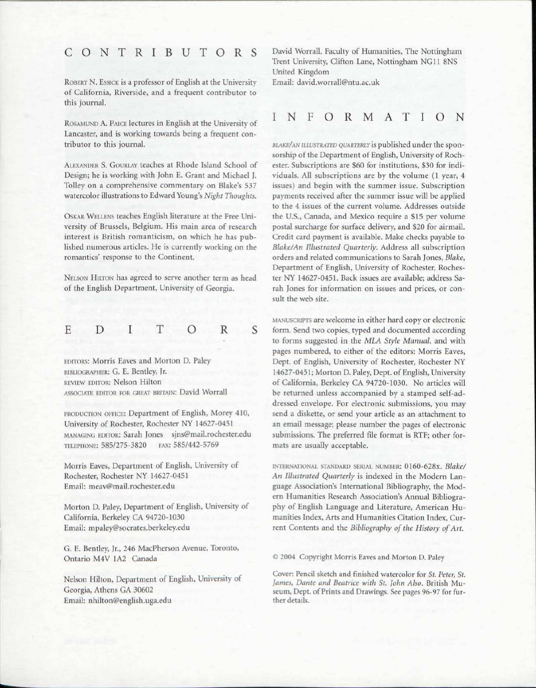## CONTRIBUTOR S

ROBERT N. ESSICK is a professor of English at the University of California, Riverside, and a frequent contributor to this journal.

ROSAMUND A. PAICE lectures in English at the University of Lancaster, and is working towards being a frequent contributor to this journal.

ALEXANDER S. GOURLAY teaches at Rhode Island School of Design; he is working with John E. Grant and Michael J. Tolley on a comprehensive commentary on Blake's 537 watercolor illustrations to Edward Young's *Night Thoughts.* 

OSKAR WELLENS teaches English literature at the Free University of Brussels, Belgium. His main area of research interest is British romanticism, on which he has published numerous articles. He is currently working on the romantics' response to the Continent.

NELSON HILTON has agreed to serve another term as head of the English Department, University of Georgia.

#### D I T O R E S

EDITORS: Morris Eaves and Morton D. Paley BIBLIOGRAPHER: G. E. Bentley, Jr. REVIEW EDITOR: Nelson Hilton ASSOCIATE EDITOR EOR GREAT BRITAIN: David Worrall

PRODUCTION OFFICE: Department of English, Morey 410, University of Rochester, Rochester NY 14627-0451 MANAGING EDITOR: Sarah Jones sjns@mail.rochester.edu TELEPHONE: 585/275-3820 FAX: 585/442-5769

Morris Eaves, Department of English, University of Rochester, Rochester NY 14627-0451 Email: meav@mail.rochester.edu

Morton D. Paley, Department of English, University of California, Berkeley CA 94720-1030 Email: mpaley@socrates.berkeley.edu

G. E. Bentley, Jr., 246 MacPherson Avenue, Toronto, Ontario M4V 1A2 Canada

Nelson Hilton, Department of English, University of Georgia, Athens GA 30602 Email: nhilton@english.uga.edu

David Worrall, Faculty of Humanities, The Nottingham Trent University, Clifton Lane, Nottingham NG11 8NS United Kingdom

Email: david.worrall@ntu.ac.uk

### INFORMATIO N

*BLAKE/AN ILLUSTRATED QUARTERLY* is published under the sponsorship of the Department of English, University of Rochester. Subscriptions are \$60 for institutions, \$30 for individuals. All subscriptions are by the volume (1 year, 4 issues) and begin with the summer issue. Subscription payments received after the summer issue will be applied to the 4 issues of the current volume. Addresses outside the U.S., Canada, and Mexico require a \$15 per volume postal surcharge for surface delivery, and \$20 for airmail. Credit card payment is available. Make checks payable to *Blake/An Illustrated Quarterly.* Address all subscription orders and related communications to Sarah Jones, *Blake,*  Department of English, University of Rochester, Rochester NY 14627-0451. Back issues are available; address Sarah Jones for information on issues and prices, or consult the web site.

MANUSCRIPTS are welcome in either hard copy or electronic form. Send two copies, typed and documented according to forms suggested in the *MLA Style Manual,* and with pages numbered, to either of the editors: Morris Eaves, Dept. of English, University of Rochester, Rochester NY 14627-0451; Morton D. Paley, Dept. of English, University of California, Berkeley CA 94720-1030. No articles will be returned unless accompanied by a stamped self-addressed envelope. For electronic submissions, you may send a diskette, or send your article as an attachment to an email message; please number the pages of electronic submissions. The preferred file format is RTF; other formats are usually acceptable.

INTERNATIONAL STANDARD SERIAL NUMBER: 0160-628X. *Blake/ An Illustrated Quarterly* is indexed in the Modern Language Association's International Bibliography, the Modern Humanities Research Association's Annual Bibliography of English Language and Literature, American Humanities Index, Arts and Humanities Citation Index, Current Contents and the *Bibliography of the History of Art.* 

*©* 2004 Copyright Morris Eaves and Morton D. Paley

Cover: Pencil sketch and finished watercolor for *St. Peter, St. James, Dante and Beatrice with St. John Also.* British Museum, Dept. of Prints and Drawings. See pages 96-97 for further details.